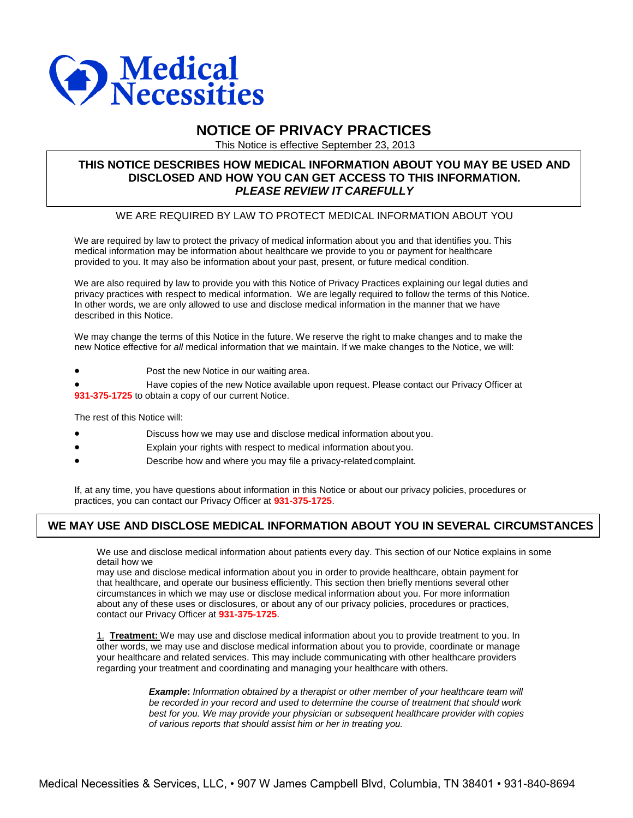

# **NOTICE OF PRIVACY PRACTICES**

This Notice is effective September 23, 2013

### **THIS NOTICE DESCRIBES HOW MEDICAL INFORMATION ABOUT YOU MAY BE USED AND DISCLOSED AND HOW YOU CAN GET ACCESS TO THIS INFORMATION.** *PLEASE REVIEW IT CAREFULLY*

### WE ARE REQUIRED BY LAW TO PROTECT MEDICAL INFORMATION ABOUT YOU

We are required by law to protect the privacy of medical information about you and that identifies you. This medical information may be information about healthcare we provide to you or payment for healthcare provided to you. It may also be information about your past, present, or future medical condition.

We are also required by law to provide you with this Notice of Privacy Practices explaining our legal duties and privacy practices with respect to medical information. We are legally required to follow the terms of this Notice. In other words, we are only allowed to use and disclose medical information in the manner that we have described in this Notice.

We may change the terms of this Notice in the future. We reserve the right to make changes and to make the new Notice effective for *all* medical information that we maintain. If we make changes to the Notice, we will:

Post the new Notice in our waiting area.

 Have copies of the new Notice available upon request. Please contact our Privacy Officer at **931-375-1725** to obtain a copy of our current Notice.

The rest of this Notice will:

- Discuss how we may use and disclose medical information about you.
- Explain your rights with respect to medical information about you.
- Describe how and where you may file a privacy-related complaint.

If, at any time, you have questions about information in this Notice or about our privacy policies, procedures or practices, you can contact our Privacy Officer at **931-375-1725**.

# **WE MAY USE AND DISCLOSE MEDICAL INFORMATION ABOUT YOU IN SEVERAL CIRCUMSTANCES**

We use and disclose medical information about patients every day. This section of our Notice explains in some detail how we

may use and disclose medical information about you in order to provide healthcare, obtain payment for that healthcare, and operate our business efficiently. This section then briefly mentions several other circumstances in which we may use or disclose medical information about you. For more information about any of these uses or disclosures, or about any of our privacy policies, procedures or practices, contact our Privacy Officer at **931-375-1725**.

1. **Treatment:** We may use and disclose medical information about you to provide treatment to you. In other words, we may use and disclose medical information about you to provide, coordinate or manage your healthcare and related services. This may include communicating with other healthcare providers regarding your treatment and coordinating and managing your healthcare with others.

> *Example***:** *Information obtained by a therapist or other member of your healthcare team will be recorded in your record and used to determine the course of treatment that should work best for you. We may provide your physician or subsequent healthcare provider with copies of various reports that should assist him or her in treating you.*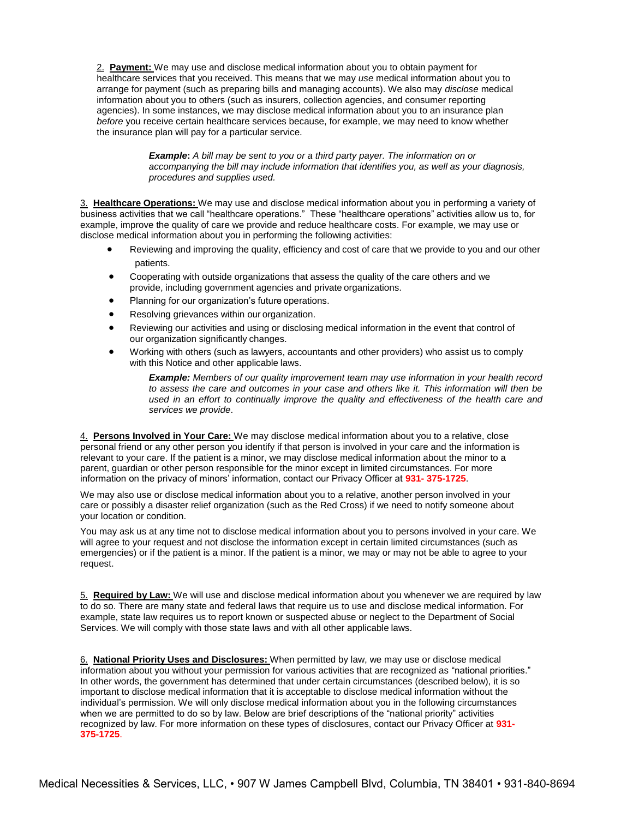2. **Payment:** We may use and disclose medical information about you to obtain payment for healthcare services that you received. This means that we may *use* medical information about you to arrange for payment (such as preparing bills and managing accounts). We also may *disclose* medical information about you to others (such as insurers, collection agencies, and consumer reporting agencies). In some instances, we may disclose medical information about you to an insurance plan *before* you receive certain healthcare services because, for example, we may need to know whether the insurance plan will pay for a particular service.

> **Example:** A bill may be sent to you or a third party payer. The information on or *accompanying the bill may include information that identifies you, as well as your diagnosis, procedures and supplies used.*

3. **Healthcare Operations:** We may use and disclose medical information about you in performing a variety of business activities that we call "healthcare operations." These "healthcare operations" activities allow us to, for example, improve the quality of care we provide and reduce healthcare costs. For example, we may use or disclose medical information about you in performing the following activities:

- Reviewing and improving the quality, efficiency and cost of care that we provide to you and our other patients.
- Cooperating with outside organizations that assess the quality of the care others and we provide, including government agencies and private organizations.
- Planning for our organization's future operations.
- Resolving grievances within our organization.
- Reviewing our activities and using or disclosing medical information in the event that control of our organization significantly changes.
- Working with others (such as lawyers, accountants and other providers) who assist us to comply with this Notice and other applicable laws.

*Example: Members of our quality improvement team may use information in your health record to assess the care and outcomes in your case and others like it. This information will then be used in an effort to continually improve the quality and effectiveness of the health care and services we provide*.

4. **Persons Involved in Your Care:** We may disclose medical information about you to a relative, close personal friend or any other person you identify if that person is involved in your care and the information is relevant to your care. If the patient is a minor, we may disclose medical information about the minor to a parent, guardian or other person responsible for the minor except in limited circumstances. For more information on the privacy of minors' information, contact our Privacy Officer at **931- 375-1725**.

We may also use or disclose medical information about you to a relative, another person involved in your care or possibly a disaster relief organization (such as the Red Cross) if we need to notify someone about your location or condition.

You may ask us at any time not to disclose medical information about you to persons involved in your care. We will agree to your request and not disclose the information except in certain limited circumstances (such as emergencies) or if the patient is a minor. If the patient is a minor, we may or may not be able to agree to your request.

5. **Required by Law:** We will use and disclose medical information about you whenever we are required by law to do so. There are many state and federal laws that require us to use and disclose medical information. For example, state law requires us to report known or suspected abuse or neglect to the Department of Social Services. We will comply with those state laws and with all other applicable laws.

6. **National Priority Uses and Disclosures:** When permitted by law, we may use or disclose medical information about you without your permission for various activities that are recognized as "national priorities." In other words, the government has determined that under certain circumstances (described below), it is so important to disclose medical information that it is acceptable to disclose medical information without the individual's permission. We will only disclose medical information about you in the following circumstances when we are permitted to do so by law. Below are brief descriptions of the "national priority" activities recognized by law. For more information on these types of disclosures, contact our Privacy Officer at **931- 375-1725**.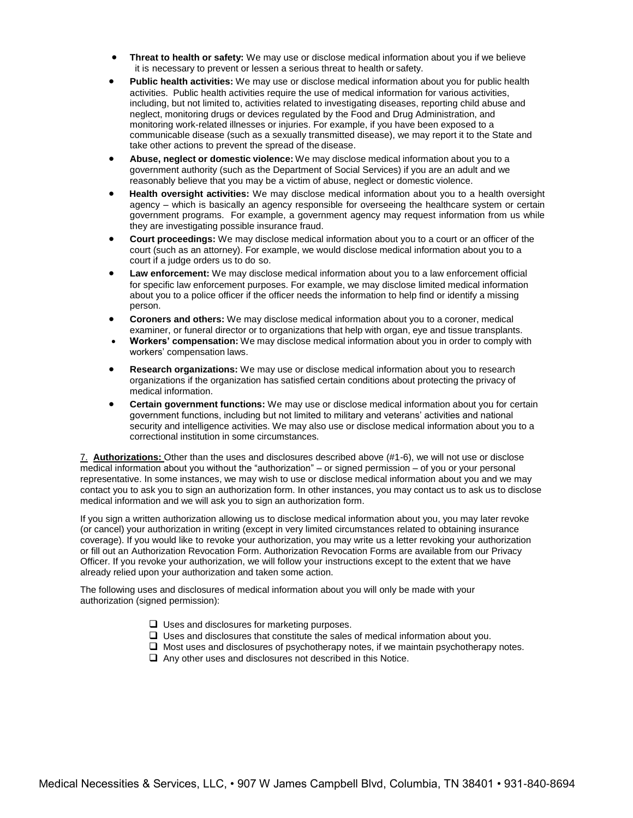- **Threat to health or safety:** We may use or disclose medical information about you if we believe it is necessary to prevent or lessen a serious threat to health or safety.
- **Public health activities:** We may use or disclose medical information about you for public health activities. Public health activities require the use of medical information for various activities, including, but not limited to, activities related to investigating diseases, reporting child abuse and neglect, monitoring drugs or devices regulated by the Food and Drug Administration, and monitoring work-related illnesses or injuries. For example, if you have been exposed to a communicable disease (such as a sexually transmitted disease), we may report it to the State and take other actions to prevent the spread of the disease.
- **Abuse, neglect or domestic violence:** We may disclose medical information about you to a government authority (such as the Department of Social Services) if you are an adult and we reasonably believe that you may be a victim of abuse, neglect or domestic violence.
- **Health oversight activities:** We may disclose medical information about you to a health oversight agency – which is basically an agency responsible for overseeing the healthcare system or certain government programs. For example, a government agency may request information from us while they are investigating possible insurance fraud.
- **Court proceedings:** We may disclose medical information about you to a court or an officer of the court (such as an attorney). For example, we would disclose medical information about you to a court if a judge orders us to do so.
- **Law enforcement:** We may disclose medical information about you to a law enforcement official for specific law enforcement purposes. For example, we may disclose limited medical information about you to a police officer if the officer needs the information to help find or identify a missing person.
- **Coroners and others:** We may disclose medical information about you to a coroner, medical examiner, or funeral director or to organizations that help with organ, eye and tissue transplants.
- **Workers' compensation:** We may disclose medical information about you in order to comply with workers' compensation laws.
- **Research organizations:** We may use or disclose medical information about you to research organizations if the organization has satisfied certain conditions about protecting the privacy of medical information.
- **Certain government functions:** We may use or disclose medical information about you for certain government functions, including but not limited to military and veterans' activities and national security and intelligence activities. We may also use or disclose medical information about you to a correctional institution in some circumstances.

7. **Authorizations:** Other than the uses and disclosures described above (#1-6), we will not use or disclose medical information about you without the "authorization" – or signed permission – of you or your personal representative. In some instances, we may wish to use or disclose medical information about you and we may contact you to ask you to sign an authorization form. In other instances, you may contact us to ask us to disclose medical information and we will ask you to sign an authorization form.

If you sign a written authorization allowing us to disclose medical information about you, you may later revoke (or cancel) your authorization in writing (except in very limited circumstances related to obtaining insurance coverage). If you would like to revoke your authorization, you may write us a letter revoking your authorization or fill out an Authorization Revocation Form. Authorization Revocation Forms are available from our Privacy Officer. If you revoke your authorization, we will follow your instructions except to the extent that we have already relied upon your authorization and taken some action.

The following uses and disclosures of medical information about you will only be made with your authorization (signed permission):

- $\Box$  Uses and disclosures for marketing purposes.
- $\Box$  Uses and disclosures that constitute the sales of medical information about you.
- $\Box$  Most uses and disclosures of psychotherapy notes, if we maintain psychotherapy notes.
- $\Box$  Any other uses and disclosures not described in this Notice.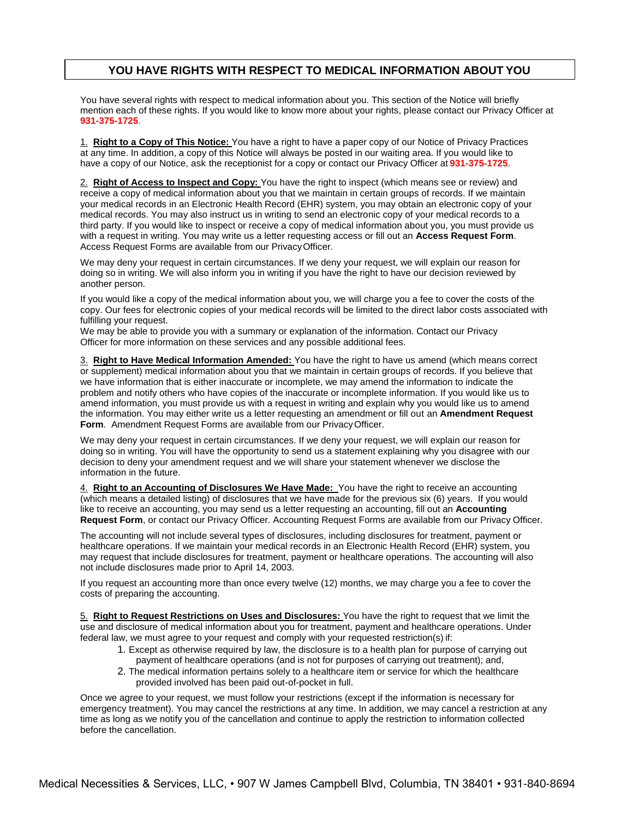### **YOU HAVE RIGHTS WITH RESPECT TO MEDICAL INFORMATION ABOUT YOU**

You have several rights with respect to medical information about you. This section of the Notice will briefly mention each of these rights. If you would like to know more about your rights, please contact our Privacy Officer at **931-375-1725**.

1. **Right to a Copy of This Notice:** You have a right to have a paper copy of our Notice of Privacy Practices at any time. In addition, a copy of this Notice will always be posted in our waiting area. If you would like to have a copy of our Notice, ask the receptionist for a copy or contact our Privacy Officer at **931-375-1725**.

2. **Right of Access to Inspect and Copy:** You have the right to inspect (which means see or review) and receive a copy of medical information about you that we maintain in certain groups of records. If we maintain your medical records in an Electronic Health Record (EHR) system, you may obtain an electronic copy of your medical records. You may also instruct us in writing to send an electronic copy of your medical records to a third party. If you would like to inspect or receive a copy of medical information about you, you must provide us with a request in writing. You may write us a letter requesting access or fill out an **Access Request Form**. Access Request Forms are available from our PrivacyOfficer.

We may deny your request in certain circumstances. If we deny your request, we will explain our reason for doing so in writing. We will also inform you in writing if you have the right to have our decision reviewed by another person.

If you would like a copy of the medical information about you, we will charge you a fee to cover the costs of the copy. Our fees for electronic copies of your medical records will be limited to the direct labor costs associated with fulfilling your request.

We may be able to provide you with a summary or explanation of the information. Contact our Privacy Officer for more information on these services and any possible additional fees.

3. **Right to Have Medical Information Amended:** You have the right to have us amend (which means correct or supplement) medical information about you that we maintain in certain groups of records. If you believe that we have information that is either inaccurate or incomplete, we may amend the information to indicate the problem and notify others who have copies of the inaccurate or incomplete information. If you would like us to amend information, you must provide us with a request in writing and explain why you would like us to amend the information. You may either write us a letter requesting an amendment or fill out an **Amendment Request Form**. Amendment Request Forms are available from our PrivacyOfficer.

We may deny your request in certain circumstances. If we deny your request, we will explain our reason for doing so in writing. You will have the opportunity to send us a statement explaining why you disagree with our decision to deny your amendment request and we will share your statement whenever we disclose the information in the future.

4. **Right to an Accounting of Disclosures We Have Made:** You have the right to receive an accounting (which means a detailed listing) of disclosures that we have made for the previous six (6) years. If you would like to receive an accounting, you may send us a letter requesting an accounting, fill out an **Accounting Request Form**, or contact our Privacy Officer. Accounting Request Forms are available from our Privacy Officer.

The accounting will not include several types of disclosures, including disclosures for treatment, payment or healthcare operations. If we maintain your medical records in an Electronic Health Record (EHR) system, you may request that include disclosures for treatment, payment or healthcare operations. The accounting will also not include disclosures made prior to April 14, 2003.

If you request an accounting more than once every twelve (12) months, we may charge you a fee to cover the costs of preparing the accounting.

5. **Right to Request Restrictions on Uses and Disclosures:** You have the right to request that we limit the use and disclosure of medical information about you for treatment, payment and healthcare operations. Under federal law, we must agree to your request and comply with your requested restriction(s) if:

- 1. Except as otherwise required by law, the disclosure is to a health plan for purpose of carrying out payment of healthcare operations (and is not for purposes of carrying out treatment); and,
- 2. The medical information pertains solely to a healthcare item or service for which the healthcare provided involved has been paid out-of-pocket in full.

Once we agree to your request, we must follow your restrictions (except if the information is necessary for emergency treatment). You may cancel the restrictions at any time. In addition, we may cancel a restriction at any time as long as we notify you of the cancellation and continue to apply the restriction to information collected before the cancellation.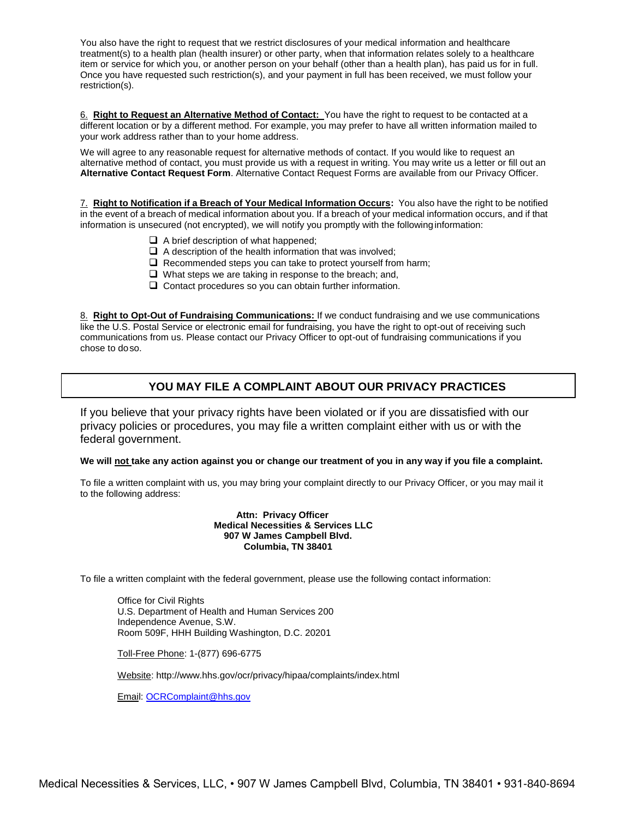You also have the right to request that we restrict disclosures of your medical information and healthcare treatment(s) to a health plan (health insurer) or other party, when that information relates solely to a healthcare item or service for which you, or another person on your behalf (other than a health plan), has paid us for in full. Once you have requested such restriction(s), and your payment in full has been received, we must follow your restriction(s).

6. **Right to Request an Alternative Method of Contact:** You have the right to request to be contacted at a different location or by a different method. For example, you may prefer to have all written information mailed to your work address rather than to your home address.

We will agree to any reasonable request for alternative methods of contact. If you would like to request an alternative method of contact, you must provide us with a request in writing. You may write us a letter or fill out an **Alternative Contact Request Form**. Alternative Contact Request Forms are available from our Privacy Officer.

7. **Right to Notification if a Breach of Your Medical Information Occurs:** You also have the right to be notified in the event of a breach of medical information about you. If a breach of your medical information occurs, and if that information is unsecured (not encrypted), we will notify you promptly with the following information:

- $\Box$  A brief description of what happened;
- $\Box$  A description of the health information that was involved;
- $\Box$  Recommended steps you can take to protect yourself from harm;
- $\Box$  What steps we are taking in response to the breach; and,
- $\Box$  Contact procedures so you can obtain further information.

8. **Right to Opt-Out of Fundraising Communications:** If we conduct fundraising and we use communications like the U.S. Postal Service or electronic email for fundraising, you have the right to opt-out of receiving such communications from us. Please contact our Privacy Officer to opt-out of fundraising communications if you chose to doso.

## **YOU MAY FILE A COMPLAINT ABOUT OUR PRIVACY PRACTICES**

If you believe that your privacy rights have been violated or if you are dissatisfied with our privacy policies or procedures, you may file a written complaint either with us or with the federal government.

#### **We will not take any action against you or change our treatment of you in any way if you file a complaint.**

To file a written complaint with us, you may bring your complaint directly to our Privacy Officer, or you may mail it to the following address:

#### **Attn: Privacy Officer Medical Necessities & Services LLC 907 W James Campbell Blvd. Columbia, TN 38401**

To file a written complaint with the federal government, please use the following contact information:

Office for Civil Rights U.S. Department of Health and Human Services 200 Independence Avenue, S.W. Room 509F, HHH Building Washington, D.C. 20201

Toll-Free Phone: 1-(877) 696-6775

Website:<http://www.hhs.gov/ocr/privacy/hipaa/complaints/index.html>

Email: [OCRComplaint@hhs.gov](mailto:OCRComplaint@hhs.gov)